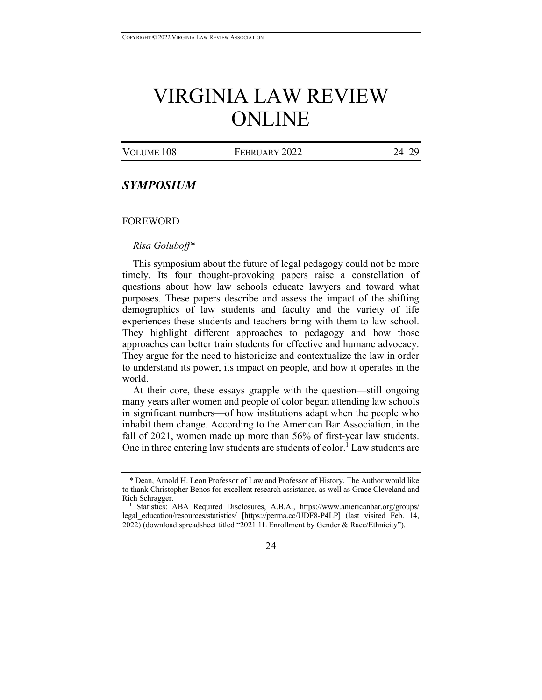# VIRGINIA LAW REVIEW ONLINE

|  | VOLUME 108 | FEBRUARY 2022 | $24 - 29$ |
|--|------------|---------------|-----------|
|--|------------|---------------|-----------|

# *SYMPOSIUM*

#### FOREWORD

#### *Risa Goluboff\**

This symposium about the future of legal pedagogy could not be more timely. Its four thought-provoking papers raise a constellation of questions about how law schools educate lawyers and toward what purposes. These papers describe and assess the impact of the shifting demographics of law students and faculty and the variety of life experiences these students and teachers bring with them to law school. They highlight different approaches to pedagogy and how those approaches can better train students for effective and humane advocacy. They argue for the need to historicize and contextualize the law in order to understand its power, its impact on people, and how it operates in the world.

At their core, these essays grapple with the question—still ongoing many years after women and people of color began attending law schools in significant numbers—of how institutions adapt when the people who inhabit them change. According to the American Bar Association, in the fall of 2021, women made up more than 56% of first-year law students. One in three entering law students are students of color.<sup>1</sup> Law students are

<sup>1</sup> Statistics: ABA Required Disclosures, A.B.A., https://www.americanbar.org/groups/ legal education/resources/statistics/ [https://perma.cc/UDF8-P4LP] (last visited Feb. 14, 2022) (download spreadsheet titled "2021 1L Enrollment by Gender & Race/Ethnicity").



<sup>\*</sup> Dean, Arnold H. Leon Professor of Law and Professor of History. The Author would like to thank Christopher Benos for excellent research assistance, as well as Grace Cleveland and Rich Schragger.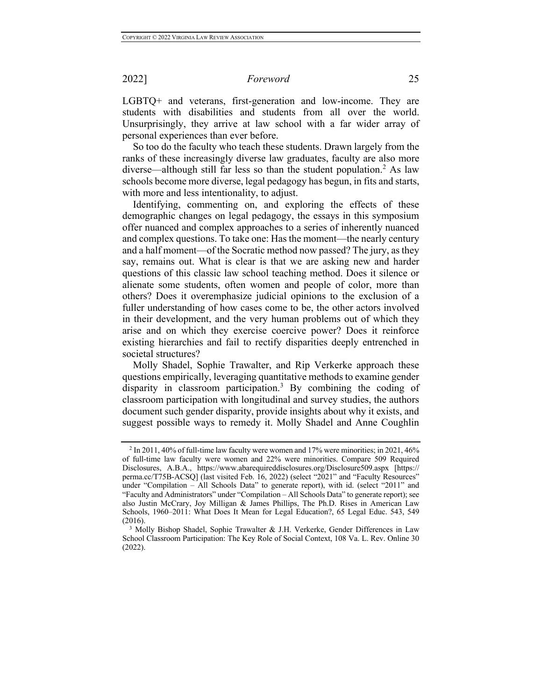### 2022] *Foreword* 25

LGBTQ+ and veterans, first-generation and low-income. They are students with disabilities and students from all over the world. Unsurprisingly, they arrive at law school with a far wider array of personal experiences than ever before.

So too do the faculty who teach these students. Drawn largely from the ranks of these increasingly diverse law graduates, faculty are also more diverse—although still far less so than the student population.<sup>2</sup> As law schools become more diverse, legal pedagogy has begun, in fits and starts, with more and less intentionality, to adjust.

Identifying, commenting on, and exploring the effects of these demographic changes on legal pedagogy, the essays in this symposium offer nuanced and complex approaches to a series of inherently nuanced and complex questions. To take one: Has the moment—the nearly century and a half moment—of the Socratic method now passed? The jury, as they say, remains out. What is clear is that we are asking new and harder questions of this classic law school teaching method. Does it silence or alienate some students, often women and people of color, more than others? Does it overemphasize judicial opinions to the exclusion of a fuller understanding of how cases come to be, the other actors involved in their development, and the very human problems out of which they arise and on which they exercise coercive power? Does it reinforce existing hierarchies and fail to rectify disparities deeply entrenched in societal structures?

Molly Shadel, Sophie Trawalter, and Rip Verkerke approach these questions empirically, leveraging quantitative methods to examine gender disparity in classroom participation.<sup>3</sup> By combining the coding of classroom participation with longitudinal and survey studies, the authors document such gender disparity, provide insights about why it exists, and suggest possible ways to remedy it. Molly Shadel and Anne Coughlin

 $2 \text{ In } 2011,40\%$  of full-time law faculty were women and 17% were minorities; in 2021, 46% of full-time law faculty were women and 22% were minorities. Compare 509 Required Disclosures, A.B.A., https://www.abarequireddisclosures.org/Disclosure509.aspx [https:// perma.cc/T75B-ACSQ] (last visited Feb. 16, 2022) (select "2021" and "Faculty Resources" under "Compilation – All Schools Data" to generate report), with id. (select "2011" and "Faculty and Administrators" under "Compilation – All Schools Data" to generate report); see also Justin McCrary, Joy Milligan & James Phillips, The Ph.D. Rises in American Law Schools, 1960–2011: What Does It Mean for Legal Education?, 65 Legal Educ. 543, 549 (2016).

<sup>3</sup> Molly Bishop Shadel, Sophie Trawalter & J.H. Verkerke, Gender Differences in Law School Classroom Participation: The Key Role of Social Context, 108 Va. L. Rev. Online 30 (2022).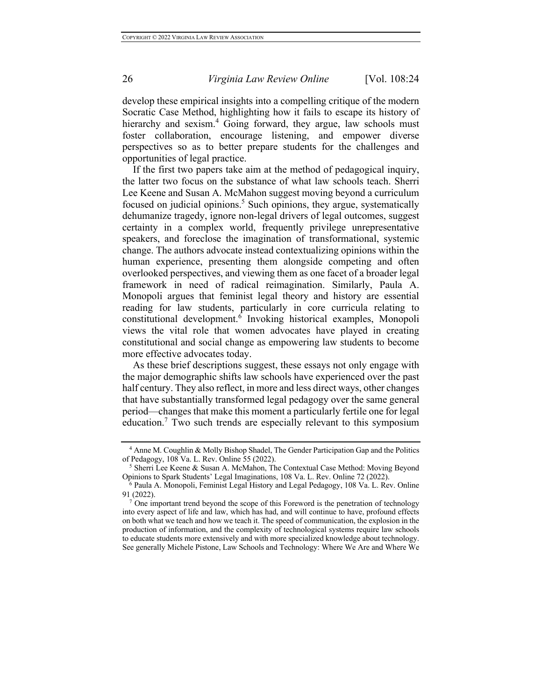# 26 *Virginia Law Review Online* [Vol. 108:24

develop these empirical insights into a compelling critique of the modern Socratic Case Method, highlighting how it fails to escape its history of hierarchy and sexism.<sup>4</sup> Going forward, they argue, law schools must foster collaboration, encourage listening, and empower diverse perspectives so as to better prepare students for the challenges and opportunities of legal practice.

If the first two papers take aim at the method of pedagogical inquiry, the latter two focus on the substance of what law schools teach. Sherri Lee Keene and Susan A. McMahon suggest moving beyond a curriculum focused on judicial opinions.<sup>5</sup> Such opinions, they argue, systematically dehumanize tragedy, ignore non-legal drivers of legal outcomes, suggest certainty in a complex world, frequently privilege unrepresentative speakers, and foreclose the imagination of transformational, systemic change. The authors advocate instead contextualizing opinions within the human experience, presenting them alongside competing and often overlooked perspectives, and viewing them as one facet of a broader legal framework in need of radical reimagination. Similarly, Paula A. Monopoli argues that feminist legal theory and history are essential reading for law students, particularly in core curricula relating to constitutional development.<sup>6</sup> Invoking historical examples, Monopoli views the vital role that women advocates have played in creating constitutional and social change as empowering law students to become more effective advocates today.

As these brief descriptions suggest, these essays not only engage with the major demographic shifts law schools have experienced over the past half century. They also reflect, in more and less direct ways, other changes that have substantially transformed legal pedagogy over the same general period—changes that make this moment a particularly fertile one for legal education.<sup>7</sup> Two such trends are especially relevant to this symposium

<sup>4</sup> Anne M. Coughlin & Molly Bishop Shadel, The Gender Participation Gap and the Politics of Pedagogy, 108 Va. L. Rev. Online 55 (2022).

<sup>5</sup> Sherri Lee Keene & Susan A. McMahon, The Contextual Case Method: Moving Beyond Opinions to Spark Students' Legal Imaginations, 108 Va. L. Rev. Online 72 (2022).

 $6$  Paula A. Monopoli, Feminist Legal History and Legal Pedagogy, 108 Va. L. Rev. Online 91 (2022).

<sup>&</sup>lt;sup>7</sup> One important trend beyond the scope of this Foreword is the penetration of technology into every aspect of life and law, which has had, and will continue to have, profound effects on both what we teach and how we teach it. The speed of communication, the explosion in the production of information, and the complexity of technological systems require law schools to educate students more extensively and with more specialized knowledge about technology. See generally Michele Pistone, Law Schools and Technology: Where We Are and Where We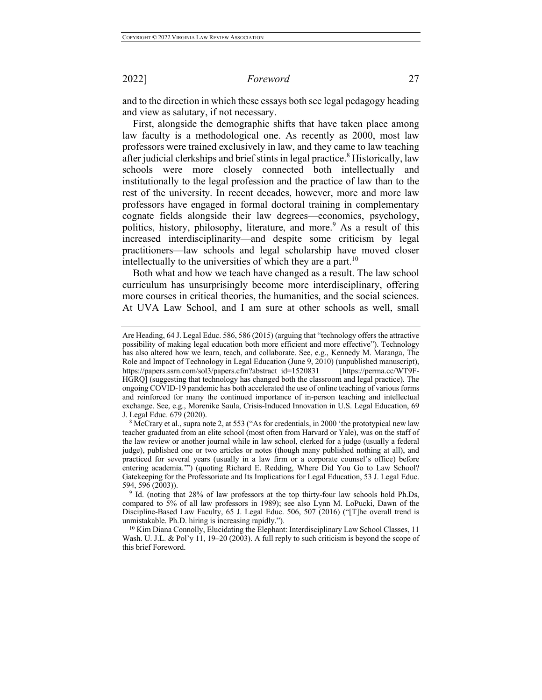#### 2022] *Foreword* 27

and to the direction in which these essays both see legal pedagogy heading and view as salutary, if not necessary.

First, alongside the demographic shifts that have taken place among law faculty is a methodological one. As recently as 2000, most law professors were trained exclusively in law, and they came to law teaching after judicial clerkships and brief stints in legal practice.<sup>8</sup> Historically, law schools were more closely connected both intellectually and institutionally to the legal profession and the practice of law than to the rest of the university. In recent decades, however, more and more law professors have engaged in formal doctoral training in complementary cognate fields alongside their law degrees—economics, psychology, politics, history, philosophy, literature, and more.<sup>9</sup> As a result of this increased interdisciplinarity—and despite some criticism by legal practitioners—law schools and legal scholarship have moved closer intellectually to the universities of which they are a part.<sup>10</sup>

Both what and how we teach have changed as a result. The law school curriculum has unsurprisingly become more interdisciplinary, offering more courses in critical theories, the humanities, and the social sciences. At UVA Law School, and I am sure at other schools as well, small

Are Heading, 64 J. Legal Educ. 586, 586 (2015) (arguing that "technology offers the attractive possibility of making legal education both more efficient and more effective"). Technology has also altered how we learn, teach, and collaborate. See, e.g., Kennedy M. Maranga, The Role and Impact of Technology in Legal Education (June 9, 2010) (unpublished manuscript), https://papers.ssrn.com/sol3/papers.cfm?abstract\_id=1520831 [https://perma.cc/WT9F-HGRQ] (suggesting that technology has changed both the classroom and legal practice). The ongoing COVID-19 pandemic has both accelerated the use of online teaching of various forms and reinforced for many the continued importance of in-person teaching and intellectual exchange. See, e.g., Morenike Saula, Crisis-Induced Innovation in U.S. Legal Education, 69 J. Legal Educ. 679 (2020).

<sup>&</sup>lt;sup>8</sup> McCrary et al., supra note 2, at 553 ("As for credentials, in 2000 'the prototypical new law teacher graduated from an elite school (most often from Harvard or Yale), was on the staff of the law review or another journal while in law school, clerked for a judge (usually a federal judge), published one or two articles or notes (though many published nothing at all), and practiced for several years (usually in a law firm or a corporate counsel's office) before entering academia.'") (quoting Richard E. Redding, Where Did You Go to Law School? Gatekeeping for the Professoriate and Its Implications for Legal Education, 53 J. Legal Educ. 594, 596 (2003)).

<sup>&</sup>lt;sup>9</sup> Id. (noting that 28% of law professors at the top thirty-four law schools hold Ph.Ds, compared to 5% of all law professors in 1989); see also Lynn M. LoPucki, Dawn of the Discipline-Based Law Faculty, 65 J. Legal Educ. 506, 507 (2016) ("[T]he overall trend is unmistakable. Ph.D. hiring is increasing rapidly.").

<sup>10</sup> Kim Diana Connolly, Elucidating the Elephant: Interdisciplinary Law School Classes, 11 Wash. U. J.L. & Pol'y 11, 19–20 (2003). A full reply to such criticism is beyond the scope of this brief Foreword.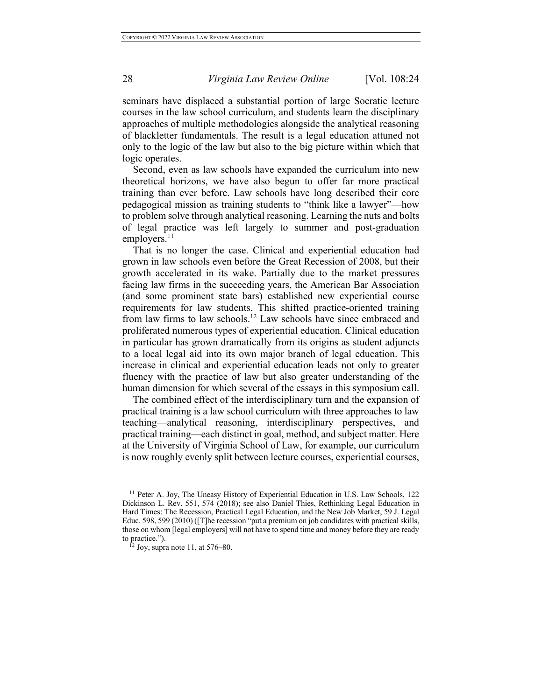# 28 *Virginia Law Review Online* [Vol. 108:24

seminars have displaced a substantial portion of large Socratic lecture courses in the law school curriculum, and students learn the disciplinary approaches of multiple methodologies alongside the analytical reasoning of blackletter fundamentals. The result is a legal education attuned not only to the logic of the law but also to the big picture within which that logic operates.

Second, even as law schools have expanded the curriculum into new theoretical horizons, we have also begun to offer far more practical training than ever before. Law schools have long described their core pedagogical mission as training students to "think like a lawyer"—how to problem solve through analytical reasoning. Learning the nuts and bolts of legal practice was left largely to summer and post-graduation employers. $^{11}$ 

That is no longer the case. Clinical and experiential education had grown in law schools even before the Great Recession of 2008, but their growth accelerated in its wake. Partially due to the market pressures facing law firms in the succeeding years, the American Bar Association (and some prominent state bars) established new experiential course requirements for law students. This shifted practice-oriented training from law firms to law schools.<sup>12</sup> Law schools have since embraced and proliferated numerous types of experiential education. Clinical education in particular has grown dramatically from its origins as student adjuncts to a local legal aid into its own major branch of legal education. This increase in clinical and experiential education leads not only to greater fluency with the practice of law but also greater understanding of the human dimension for which several of the essays in this symposium call.

The combined effect of the interdisciplinary turn and the expansion of practical training is a law school curriculum with three approaches to law teaching—analytical reasoning, interdisciplinary perspectives, and practical training—each distinct in goal, method, and subject matter. Here at the University of Virginia School of Law, for example, our curriculum is now roughly evenly split between lecture courses, experiential courses,

<sup>&</sup>lt;sup>11</sup> Peter A. Joy, The Uneasy History of Experiential Education in U.S. Law Schools, 122 Dickinson L. Rev. 551, 574 (2018); see also Daniel Thies, Rethinking Legal Education in Hard Times: The Recession, Practical Legal Education, and the New Job Market, 59 J. Legal Educ. 598, 599 (2010) ([T]he recession "put a premium on job candidates with practical skills, those on whom [legal employers] will not have to spend time and money before they are ready to practice.").

<sup>&</sup>lt;sup>12</sup> Joy, supra note 11, at 576–80.